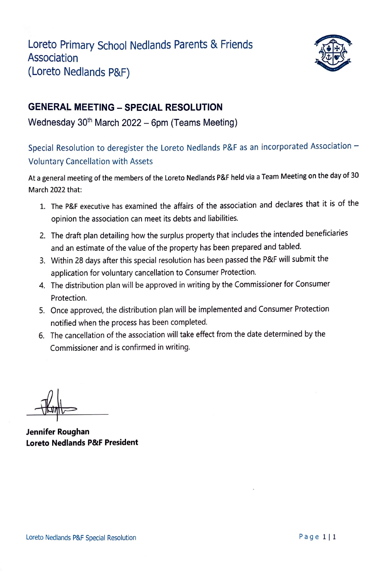

## **GENERAL MEETING - SPECIAL RESOLUTION**

Wednesday  $30<sup>th</sup>$  March 2022 - 6pm (Teams Meeting)

## Special Resolution to deregister the Loreto Nedlands P&F as an incorporated Association -Voluntary Cancellation with Assets

At a general meeting of the members of the Loreto Nedlands P&F held via a Team Meeting on the day of <sup>30</sup> March 2022 that:

- 1. The P&F executive has examined the affairs of the association and declares that it is of the opinion the association can meet its debts and liabilities.
- 2. The draft plan detailing how the surplus property that includes the intended beneficiaries and an estimate of the value of the property has been prepared and tabled.
- 3. Within 28 days after this special resolution has been passed the P&F will submit the application for voluntary cancellation to Consumer Protection.
- 4. The distribution plan will be approved in writing by the Commissioner for Consumer Protection.
- 5. Once approved, the distribution plan will be implemented and Consumer Protection notified when the process has been completed.
- 6. The cancellation of the association will take effect from the date determined by the Commissioner and is confirmed in writing.

**Jennifer Roughan Loreto Nedlands P&F President**